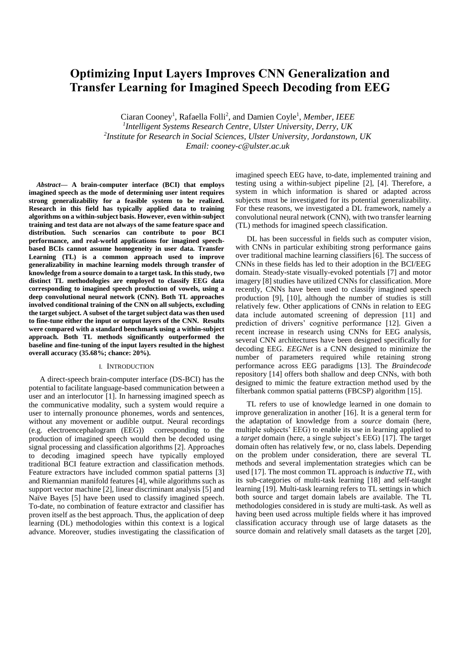# **Optimizing Input Layers Improves CNN Generalization and Transfer Learning for Imagined Speech Decoding from EEG**

Ciaran Cooney<sup>1</sup>, Rafaella Folli<sup>2</sup>, and Damien Coyle<sup>1</sup>, Member, IEEE *1 Intelligent Systems Research Centre, Ulster University, Derry, UK* 

*2 Institute for Research in Social Sciences, Ulster University, Jordanstown, UK Email: cooney-c@ulster.ac.uk*

*Abstract***— A brain-computer interface (BCI) that employs imagined speech as the mode of determining user intent requires strong generalizability for a feasible system to be realized. Research in this field has typically applied data to training algorithms on a within-subject basis. However, even within-subject training and test data are not always of the same feature space and distribution. Such scenarios can contribute to poor BCI performance, and real-world applications for imagined speechbased BCIs cannot assume homogeneity in user data. Transfer Learning (TL) is a common approach used to improve generalizability in machine learning models through transfer of knowledge from a source domain to a target task. In this study, two distinct TL methodologies are employed to classify EEG data corresponding to imagined speech production of vowels, using a deep convolutional neural network (CNN). Both TL approaches involved conditional training of the CNN on all subjects, excluding the target subject. A subset of the target subject data was then used to fine-tune either the input or output layers of the CNN. Results were compared with a standard benchmark using a within-subject approach. Both TL methods significantly outperformed the baseline and fine-tuning of the input layers resulted in the highest overall accuracy (35.68%; chance: 20%).** 

#### I. INTRODUCTION

A direct-speech brain-computer interface (DS-BCI) has the potential to facilitate language-based communication between a user and an interlocutor [1]. In harnessing imagined speech as the communicative modality, such a system would require a user to internally pronounce phonemes, words and sentences, without any movement or audible output. Neural recordings (e.g. electroencephalogram (EEG)) corresponding to the production of imagined speech would then be decoded using signal processing and classification algorithms [2]. Approaches to decoding imagined speech have typically employed traditional BCI feature extraction and classification methods. Feature extractors have included common spatial patterns [3] and Riemannian manifold features [4], while algorithms such as support vector machine [2], linear discriminant analysis [5] and Naïve Bayes [5] have been used to classify imagined speech. To-date, no combination of feature extractor and classifier has proven itself as the best approach. Thus, the application of deep learning (DL) methodologies within this context is a logical advance. Moreover, studies investigating the classification of imagined speech EEG have, to-date, implemented training and testing using a within-subject pipeline [2], [4]. Therefore, a system in which information is shared or adapted across subjects must be investigated for its potential generalizability. For these reasons, we investigated a DL framework, namely a convolutional neural network (CNN), with two transfer learning (TL) methods for imagined speech classification.

DL has been successful in fields such as computer vision, with CNNs in particular exhibiting strong performance gains over traditional machine learning classifiers [6]. The success of CNNs in these fields has led to their adoption in the BCI/EEG domain. Steady-state visually-evoked potentials [7] and motor imagery [8] studies have utilized CNNs for classification. More recently, CNNs have been used to classify imagined speech production [9], [10], although the number of studies is still relatively few. Other applications of CNNs in relation to EEG data include automated screening of depression [11] and prediction of drivers' cognitive performance [12]. Given a recent increase in research using CNNs for EEG analysis, several CNN architectures have been designed specifically for decoding EEG. *EEGNet* is a CNN designed to minimize the number of parameters required while retaining strong performance across EEG paradigms [13]. The *Braindecode* repository [14] offers both shallow and deep CNNs, with both designed to mimic the feature extraction method used by the filterbank common spatial patterns (FBCSP) algorithm [15].

TL refers to use of knowledge learned in one domain to improve generalization in another [16]. It is a general term for the adaptation of knowledge from a *source* domain (here, multiple subjects' EEG) to enable its use in learning applied to a *target* domain (here, a single subject's EEG) [17]. The target domain often has relatively few, or no, class labels. Depending on the problem under consideration, there are several TL methods and several implementation strategies which can be used [17]. The most common TL approach is *inductive TL,* with its sub-categories of multi-task learning [18] and self-taught learning [19]*.* Multi-task learning refers to TL settings in which both source and target domain labels are available. The TL methodologies considered in is study are multi-task. As well as having been used across multiple fields where it has improved classification accuracy through use of large datasets as the source domain and relatively small datasets as the target [20],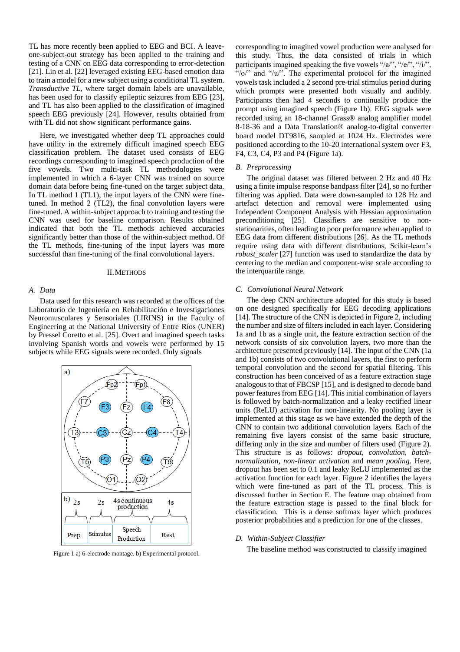TL has more recently been applied to EEG and BCI. A leaveone-subject-out strategy has been applied to the training and testing of a CNN on EEG data corresponding to error-detection [21]. Lin et al. [22] leveraged existing EEG-based emotion data to train a model for a new subject using a conditional TL system. *Transductive TL,* where target domain labels are unavailable, has been used for to classify epileptic seizures from EEG [23], and TL has also been applied to the classification of imagined speech EEG previously [24]. However, results obtained from with TL did not show significant performance gains.

Here, we investigated whether deep TL approaches could have utility in the extremely difficult imagined speech EEG classification problem. The dataset used consists of EEG recordings corresponding to imagined speech production of the five vowels. Two multi-task TL methodologies were implemented in which a 6-layer CNN was trained on source domain data before being fine-tuned on the target subject data. In TL method 1 (TL1), the input layers of the CNN were finetuned. In method 2 (TL2), the final convolution layers were fine-tuned. A within-subject approach to training and testing the CNN was used for baseline comparison. Results obtained indicated that both the TL methods achieved accuracies significantly better than those of the within-subject method. Of the TL methods, fine-tuning of the input layers was more successful than fine-tuning of the final convolutional layers.

# II.METHODS

# *A. Data*

Data used for this research was recorded at the offices of the Laboratorio de Ingeniería en Rehabilitación e Investigaciones Neuromusculares y Sensoriales (LIRINS) in the Faculty of Engineering at the National University of Entre Ríos (UNER) by Pressel Coretto et al. [25]. Overt and imagined speech tasks involving Spanish words and vowels were performed by 15 subjects while EEG signals were recorded. Only signals



Figure 1 a) 6-electrode montage. b) Experimental protocol.

corresponding to imagined vowel production were analysed for this study. Thus, the data consisted of trials in which participants imagined speaking the five vowels "/a/", "/e/", "/i/", "/o/" and "/u/". The experimental protocol for the imagined vowels task included a 2 second pre-trial stimulus period during which prompts were presented both visually and audibly. Participants then had 4 seconds to continually produce the prompt using imagined speech (Figure 1b). EEG signals were recorded using an 18-channel Grass® analog amplifier model 8-18-36 and a Data Translation® analog-to-digital converter board model DT9816, sampled at 1024 Hz. Electrodes were positioned according to the 10-20 international system over F3, F4, C3, C4, P3 and P4 (Figure 1a).

# *B. Preprocessing*

The original dataset was filtered between 2 Hz and 40 Hz using a finite impulse response bandpass filter [24], so no further filtering was applied. Data were down-sampled to 128 Hz and artefact detection and removal were implemented using Independent Component Analysis with Hessian approximation preconditioning [25]. Classifiers are sensitive to nonstationarities, often leading to poor performance when applied to EEG data from different distributions [26]. As the TL methods require using data with different distributions, Scikit-learn's *robust scaler* [27] function was used to standardize the data by centering to the median and component-wise scale according to the interquartile range.

#### *C. Convolutional Neural Network*

The deep CNN architecture adopted for this study is based on one designed specifically for EEG decoding applications [14]. The structure of the CNN is depicted in Figure 2, including the number and size of filters included in each layer. Considering 1a and 1b as a single unit, the feature extraction section of the network consists of six convolution layers, two more than the architecture presented previously [14]. The input of the CNN (1a and 1b) consists of two convolutional layers, the first to perform temporal convolution and the second for spatial filtering. This construction has been conceived of as a feature extraction stage analogous to that of FBCSP [15], and is designed to decode band power features from EEG [14]. This initial combination of layers is followed by batch-normalization and a leaky rectified linear units (ReLU) activation for non-linearity. No pooling layer is implemented at this stage as we have extended the depth of the CNN to contain two additional convolution layers. Each of the remaining five layers consist of the same basic structure, differing only in the size and number of filters used (Figure 2). This structure is as follows: *dropout, convolution, batchnormalization, non-linear activation* and *mean pooling*. Here, dropout has been set to 0.1 and leaky ReLU implemented as the activation function for each layer. Figure 2 identifies the layers which were fine-tuned as part of the TL process. This is discussed further in Section E. The feature map obtained from the feature extraction stage is passed to the final block for classification. This is a dense softmax layer which produces posterior probabilities and a prediction for one of the classes.

### *D. Within-Subject Classifier*

The baseline method was constructed to classify imagined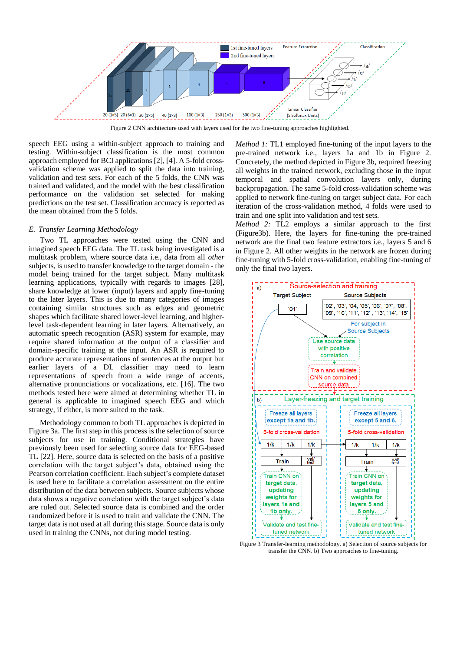

Figure 2 CNN architecture used with layers used for the two fine-tuning approaches highlighted.

speech EEG using a within-subject approach to training and testing. Within-subject classification is the most common approach employed for BCI applications [2], [4]. A 5-fold crossvalidation scheme was applied to split the data into training, validation and test sets. For each of the 5 folds, the CNN was trained and validated, and the model with the best classification performance on the validation set selected for making predictions on the test set. Classification accuracy is reported as the mean obtained from the 5 folds.

#### *E. Transfer Learning Methodology*

Two TL approaches were tested using the CNN and imagined speech EEG data. The TL task being investigated is a multitask problem, where source data i.e., data from all *other* subjects, is used to transfer knowledge to the target domain - the model being trained for the target subject. Many multitask learning applications, typically with regards to images [28], share knowledge at lower (input) layers and apply fine-tuning to the later layers. This is due to many categories of images containing similar structures such as edges and geometric shapes which facilitate shared lower-level learning, and higherlevel task-dependent learning in later layers. Alternatively, an automatic speech recognition (ASR) system for example, may require shared information at the output of a classifier and domain-specific training at the input. An ASR is required to produce accurate representations of sentences at the output but earlier layers of a DL classifier may need to learn representations of speech from a wide range of accents, alternative pronunciations or vocalizations, etc. [16]. The two methods tested here were aimed at determining whether TL in general is applicable to imagined speech EEG and which strategy, if either, is more suited to the task.

Methodology common to both TL approaches is depicted in Figure 3a. The first step in this process is the selection of source subjects for use in training. Conditional strategies have previously been used for selecting source data for EEG-based TL [22]. Here, source data is selected on the basis of a positive correlation with the target subject's data, obtained using the Pearson correlation coefficient. Each subject's complete dataset is used here to facilitate a correlation assessment on the entire distribution of the data between subjects. Source subjects whose data shows a negative correlation with the target subject's data are ruled out. Selected source data is combined and the order randomized before it is used to train and validate the CNN. The target data is not used at all during this stage. Source data is only used in training the CNNs, not during model testing.

*Method 1:* TL1 employed fine-tuning of the input layers to the pre-trained network i.e., layers 1a and 1b in Figure 2. Concretely, the method depicted in Figure 3b, required freezing all weights in the trained network, excluding those in the input temporal and spatial convolution layers only, during backpropagation. The same 5-fold cross-validation scheme was applied to network fine-tuning on target subject data. For each iteration of the cross-validation method, 4 folds were used to train and one split into validation and test sets*.*

*Method 2:* TL2 employs a similar approach to the first (Figure3b). Here, the layers for fine-tuning the pre-trained network are the final two feature extractors i.e., layers 5 and 6 in Figure 2. All other weights in the network are frozen during fine-tuning with 5-fold cross-validation, enabling fine-tuning of only the final two layers.



Figure 3 Transfer-learning methodology. a) Selection of source subjects for transfer the CNN. b) Two approaches to fine-tuning.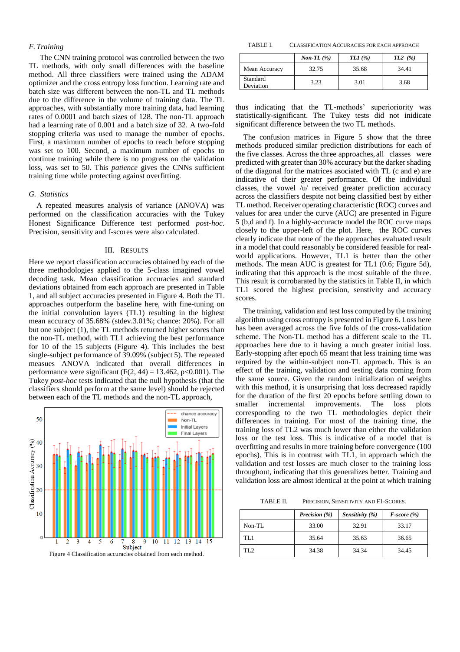## *F. Training*

The CNN training protocol was controlled between the two TL methods, with only small differences with the baseline method. All three classifiers were trained using the ADAM optimizer and the cross entropy loss function. Learning rate and batch size was different between the non-TL and TL methods due to the difference in the volume of training data. The TL approaches, with substantially more training data, had learning rates of 0.0001 and batch sizes of 128. The non-TL approach had a learning rate of 0.001 and a batch size of 32. A two-fold stopping criteria was used to manage the number of epochs. First, a maximum number of epochs to reach before stopping was set to 100. Second, a maximum number of epochs to continue training while there is no progress on the validation loss, was set to 50. This *patience* gives the CNNs sufficient training time while protecting against overfitting.

#### *G. Statistics*

A repeated measures analysis of variance (ANOVA) was performed on the classification accuracies with the Tukey Honest Significance Difference test performed *post-hoc*. Precision, sensitivity and f-scores were also calculated.

# III. RESULTS

Here we report classification accuracies obtained by each of the three methodologies applied to the 5-class imagined vowel decoding task. Mean classification accuracies and standard deviations obtained from each approach are presented in Table 1, and all subject accuracies presented in Figure 4. Both the TL approaches outperform the baseline here, with fine-tuning on the initial convolution layers (TL1) resulting in the highest mean accuracy of 35.68% (stdev.3.01%; chance: 20%). For all but one subject (1), the TL methods returned higher scores than the non-TL method, with TL1 achieving the best performance for 10 of the 15 subjects (Figure 4). This includes the best single-subject performance of 39.09% (subject 5). The repeated measues ANOVA indicated that overall differences in performance were significant  $(F(2, 44) = 13.462, p<0.001)$ . The Tukey *post-hoc* tests indicated that the null hypothesis (that the classifiers should perform at the same level) should be rejected between each of the TL methods and the non-TL approach,



Figure 4 Classification accuracies obtained from each method.

TABLE I. CLASSIFICATION ACCURACIES FOR EACH APPROACH

|                       | $Non-TL(%)$ | TL1(%) | TL2(%) |
|-----------------------|-------------|--------|--------|
| Mean Accuracy         | 32.75       | 35.68  | 34.41  |
| Standard<br>Deviation | 3.23        | 3.01   | 3.68   |

thus indicating that the TL-methods' superioriority was statistically-significant. The Tukey tests did not inidicate significant difference between the two TL methods.

The confusion matrices in Figure 5 show that the three methods produced similar prediction distributions for each of the five classes. Across the three approaches, all classes were predicted with greater than 30% accuracy but the darker shading of the diagonal for the matrices asociated with TL (c and e) are indicative of their greater performance. Of the individual classes, the vowel /u/ received greater prediction accuracy across the classifiers despite not being classified best by either TL method. Receiver operating characteristic (ROC) curves and values for area under the curve (AUC) are presented in Figure 5 (b,d and f). In a highly-accuracte model the ROC curve maps closely to the upper-left of the plot. Here, the ROC curves clearly indicate that none of the the approaches evaluated result in a model that could reasonably be considered feasible for realworld applications. However, TL1 is better than the other methods. The mean AUC is greatest for TL1 (0.6; Figure 5d), indicating that this approach is the most suitable of the three. This result is corrobarated by the statistics in Table II, in which TL1 scored the highest precision, senstivity and accuracy scores.

The training, validation and test loss computed by the training algorithm using cross entropy is presented in Figure 6. Loss here has been averaged across the five folds of the cross-validation scheme. The Non-TL method has a different scale to the TL approaches here due to it having a much greater initial loss. Early-stopping after epoch 65 meant that less training time was required by the within-subject non-TL approach. This is an effect of the training, validation and testing data coming from the same source. Given the random initialization of weights with this method, it is unsurprising that loss decreased rapidly for the duration of the first 20 epochs before settling down to smaller incremental improvements. The loss plots corresponding to the two TL methodologies depict their differences in training. For most of the training time, the training loss of TL2 was much lower than either the validation loss or the test loss. This is indicative of a model that is overfitting and results in more training before convergence (100 epochs). This is in contrast with TL1, in approach which the validation and test losses are much closer to the training loss throughout, indicating that this generalizes better. Training and validation loss are almost identical at the point at which training

TABLE II. PRECISION, SENSITIVITY AND F1-SCORES.

|                 | Precision (%) | Sensitivity $(\%)$ | $F-score (%)$ |
|-----------------|---------------|--------------------|---------------|
| $Non-TL$        | 33.00         | 32.91              | 33.17         |
| TL1             | 35.64         | 35.63              | 36.65         |
| TL <sub>2</sub> | 34.38         | 34.34              | 34.45         |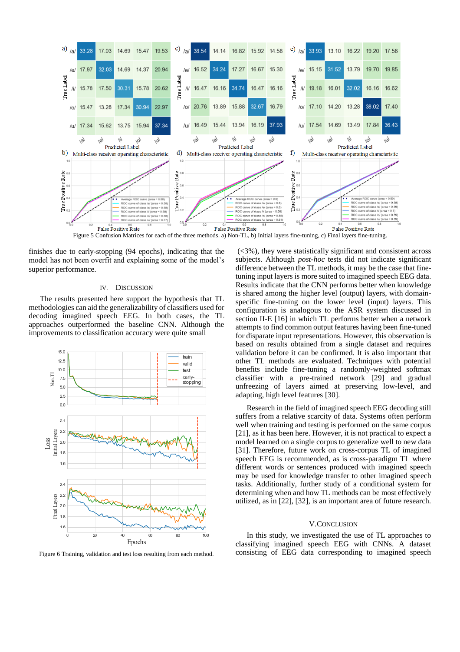

Figure 5 Confusion Matrices for each of the three methods. a) Non-TL, b) Initial layers fine-tuning, c) Final layers fine-tuning.

finishes due to early-stopping (94 epochs), indicating that the model has not been overfit and explaining some of the model's superior performance.

## IV. DISCUSSION

The results presented here support the hypothesis that TL methodologies can aid the generalizability of classifiers used for decoding imagined speech EEG. In both cases, the TL approaches outperformed the baseline CNN. Although the improvements to classification accuracy were quite small



Figure 6 Training, validation and test loss resulting from each method.

(<3%), they were statistically significant and consistent across subjects. Although *post-hoc* tests did not indicate significant difference between the TL methods, it may be the case that finetuning input layers is more suited to imagined speech EEG data. Results indicate that the CNN performs better when knowledge is shared among the higher level (output) layers, with domainspecific fine-tuning on the lower level (input) layers. This configuration is analogous to the ASR system discussed in section II-E [16] in which TL performs better when a network attempts to find common output features having been fine-tuned for disparate input representations. However, this observation is based on results obtained from a single dataset and requires validation before it can be confirmed. It is also important that other TL methods are evaluated. Techniques with potential benefits include fine-tuning a randomly-weighted softmax classifier with a pre-trained network [29] and gradual unfreezing of layers aimed at preserving low-level, and adapting, high level features [30].

Research in the field of imagined speech EEG decoding still suffers from a relative scarcity of data. Systems often perform well when training and testing is performed on the same corpus [21], as it has been here. However, it is not practical to expect a model learned on a single corpus to generalize well to new data [31]. Therefore, future work on cross-corpus TL of imagined speech EEG is recommended, as is cross-paradigm TL where different words or sentences produced with imagined speech may be used for knowledge transfer to other imagined speech tasks. Additionally, further study of a conditional system for determining when and how TL methods can be most effectively utilized, as in [22], [32], is an important area of future research.

#### V.CONCLUSION

In this study, we investigated the use of TL approaches to classifying imagined speech EEG with CNNs. A dataset consisting of EEG data corresponding to imagined speech